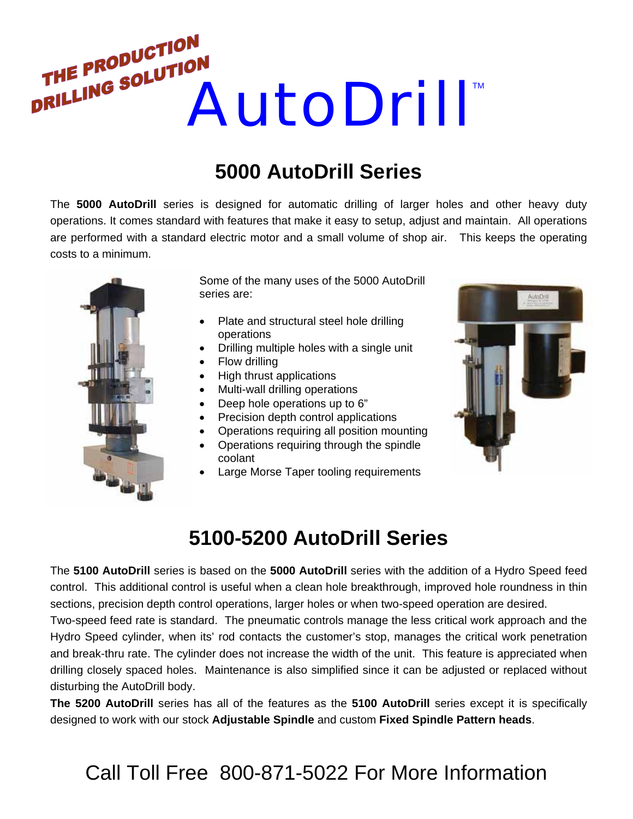

## **5000 AutoDrill Series**

The **5000 AutoDrill** series is designed for automatic drilling of larger holes and other heavy duty operations. It comes standard with features that make it easy to setup, adjust and maintain. All operations are performed with a standard electric motor and a small volume of shop air. This keeps the operating costs to a minimum.



Some of the many uses of the 5000 AutoDrill series are:

- Plate and structural steel hole drilling operations
- Drilling multiple holes with a single unit
- Flow drilling
- High thrust applications
- Multi-wall drilling operations
- Deep hole operations up to 6"
- Precision depth control applications
- Operations requiring all position mounting
- Operations requiring through the spindle coolant
- Large Morse Taper tooling requirements



## **5100-5200 AutoDrill Series**

The **5100 AutoDrill** series is based on the **5000 AutoDrill** series with the addition of a Hydro Speed feed control. This additional control is useful when a clean hole breakthrough, improved hole roundness in thin sections, precision depth control operations, larger holes or when two-speed operation are desired.

Two-speed feed rate is standard. The pneumatic controls manage the less critical work approach and the Hydro Speed cylinder, when its' rod contacts the customer's stop, manages the critical work penetration and break-thru rate. The cylinder does not increase the width of the unit. This feature is appreciated when drilling closely spaced holes. Maintenance is also simplified since it can be adjusted or replaced without disturbing the AutoDrill body.

**The 5200 AutoDrill** series has all of the features as the **5100 AutoDrill** series except it is specifically designed to work with our stock **Adjustable Spindle** and custom **Fixed Spindle Pattern heads**.

## Call Toll Free 800-871-5022 For More Information